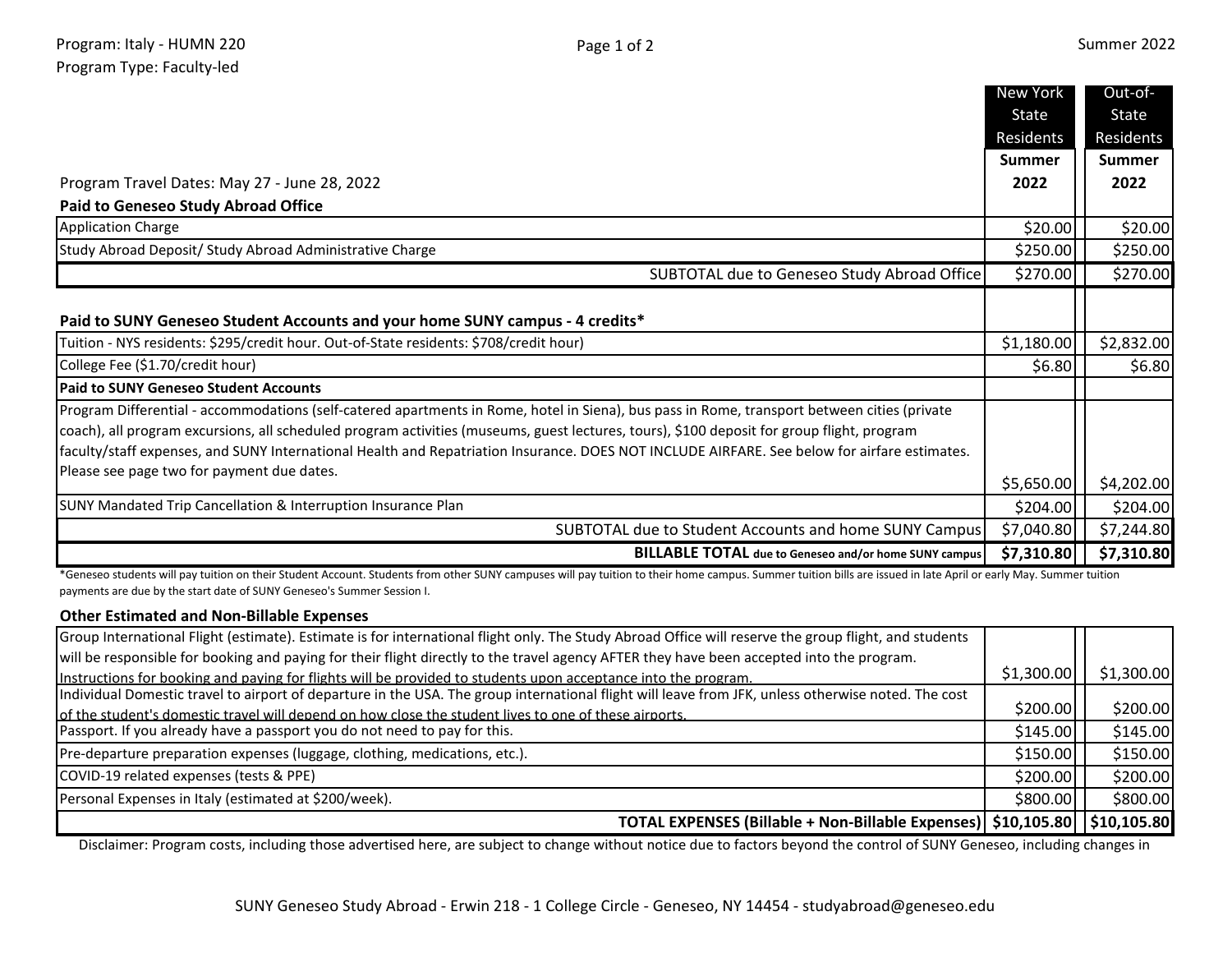|                                                                                                                                              | New York      | Out-of-       |
|----------------------------------------------------------------------------------------------------------------------------------------------|---------------|---------------|
|                                                                                                                                              | State         | State         |
|                                                                                                                                              | Residents     | Residents     |
|                                                                                                                                              | <b>Summer</b> | <b>Summer</b> |
| Program Travel Dates: May 27 - June 28, 2022                                                                                                 | 2022          | 2022          |
| <b>Paid to Geneseo Study Abroad Office</b>                                                                                                   |               |               |
| <b>Application Charge</b>                                                                                                                    | \$20.00       | \$20.00       |
| Study Abroad Deposit/ Study Abroad Administrative Charge                                                                                     | \$250.00      | \$250.00      |
| SUBTOTAL due to Geneseo Study Abroad Office                                                                                                  | \$270.00      | \$270.00      |
|                                                                                                                                              |               |               |
| Paid to SUNY Geneseo Student Accounts and your home SUNY campus - 4 credits*                                                                 |               |               |
| Tuition - NYS residents: \$295/credit hour. Out-of-State residents: \$708/credit hour)                                                       | \$1,180.00    | \$2,832.00    |
| College Fee (\$1.70/credit hour)                                                                                                             | \$6.80        | \$6.80        |
| <b>Paid to SUNY Geneseo Student Accounts</b>                                                                                                 |               |               |
| Program Differential - accommodations (self-catered apartments in Rome, hotel in Siena), bus pass in Rome, transport between cities (private |               |               |
| coach), all program excursions, all scheduled program activities (museums, guest lectures, tours), \$100 deposit for group flight, program   |               |               |
| faculty/staff expenses, and SUNY International Health and Repatriation Insurance. DOES NOT INCLUDE AIRFARE. See below for airfare estimates. |               |               |
| Please see page two for payment due dates.                                                                                                   | \$5,650.00    | \$4,202.00    |
| SUNY Mandated Trip Cancellation & Interruption Insurance Plan                                                                                | \$204.00      | \$204.00      |
| SUBTOTAL due to Student Accounts and home SUNY Campus                                                                                        | \$7,040.80    | \$7,244.80    |
| <b>BILLABLE TOTAL</b> due to Geneseo and/or home SUNY campus                                                                                 | \$7,310.80    | \$7,310.80    |

\*Geneseo students will pay tuition on their Student Account. Students from other SUNY campuses will pay tuition to their home campus. Summer tuition bills are issued in late April or early May. Summer tuition payments are due by the start date of SUNY Geneseo's Summer Session I.

## **Other Estimated and Non-Billable Expenses**

| Group International Flight (estimate). Estimate is for international flight only. The Study Abroad Office will reserve the group flight, and students |            |            |
|-------------------------------------------------------------------------------------------------------------------------------------------------------|------------|------------|
| will be responsible for booking and paying for their flight directly to the travel agency AFTER they have been accepted into the program.             |            |            |
| Instructions for booking and paying for flights will be provided to students upon acceptance into the program.                                        | \$1,300.00 | \$1,300.00 |
| Individual Domestic travel to airport of departure in the USA. The group international flight will leave from JFK, unless otherwise noted. The cost   |            |            |
| of the student's domestic travel will depend on how close the student lives to one of these airports.                                                 | \$200.00   | \$200.00   |
| Passport. If you already have a passport you do not need to pay for this.                                                                             | \$145.00   | \$145.00   |
| Pre-departure preparation expenses (luggage, clothing, medications, etc.).                                                                            | \$150.00   | \$150.00   |
| COVID-19 related expenses (tests & PPE)                                                                                                               | \$200.00   | \$200.00   |
| Personal Expenses in Italy (estimated at \$200/week).                                                                                                 | \$800.00   | \$800.00   |
| TOTAL EXPENSES (Billable + Non-Billable Expenses)   \$10,105.80   \$10,105.80                                                                         |            |            |

Disclaimer: Program costs, including those advertised here, are subject to change without notice due to factors beyond the control of SUNY Geneseo, including changes in